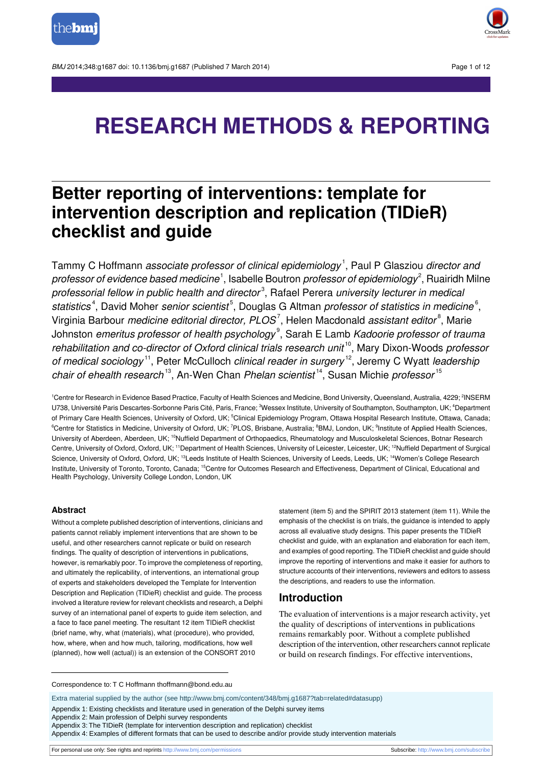

BMJ 2014:348:g1687 doi: 10.1136/bmi.g1687 (Published 7 March 2014) Page 1 of 12



# **RESEARCH METHODS & REPORTING**

## **Better reporting of interventions: template for intervention description and replication (TIDieR) checklist and guide**

Tammy C Hoffmann *associate professor of clinical epidemiology* <sup>1</sup>, Paul P Glasziou *director and professor of evidence based medicine*  $^{\rm l}$ , Isabelle Boutron *professor of epidemiology* $^{\rm 2}$ , Ruairidh Milne professorial fellow in public health and director $^{\text{\tiny 3}}$ , Rafael Perera university lecturer in medical statistics<sup>4</sup>, David Moher senior scientist<sup>5</sup>, Douglas G Altman professor of statistics in medicine<sup>6</sup>, Virginia Barbour *medicine editorial director, PLOS<sup>7</sup>*, Helen Macdonald *assistant editor*<sup>8</sup>, Marie Johnston *emeritus professor of health psychology*  $^{\circ}$ , Sarah E Lamb *Kadoorie professor of trauma* rehabilitation and co-director of Oxford clinical trials research unit<sup>10</sup>, Mary Dixon-Woods professor of medical sociology<sup>11</sup>, Peter McCulloch clinical reader in surgery<sup>12</sup>, Jeremy C Wyatt leadership chair of ehealth research<sup>13</sup>, An-Wen Chan Phelan scientist<sup>14</sup>, Susan Michie professor<sup>15</sup>

<sup>1</sup>Centre for Research in Evidence Based Practice, Faculty of Health Sciences and Medicine, Bond University, Queensland, Australia, 4229; <sup>2</sup>INSERM U738, Université Paris Descartes-Sorbonne Paris Cité, Paris, France; <sup>3</sup>Wessex Institute, University of Southampton, Southampton, UK; <sup>4</sup>Department of Primary Care Health Sciences, University of Oxford, UK; <sup>5</sup>Clinical Epidemiology Program, Ottawa Hospital Research Institute, Ottawa, Canada; <sup>6</sup>Centre for Statistics in Medicine, University of Oxford, UK; <sup>7</sup>PLOS, Brisbane, Australia; <sup>8</sup>BMJ, London, UK; <sup>9</sup>Institute of Applied Health Sciences, University of Aberdeen, Aberdeen, UK; <sup>10</sup>Nuffield Department of Orthopaedics, Rheumatology and Musculoskeletal Sciences, Botnar Research Centre, University of Oxford, Oxford, UK; <sup>11</sup>Department of Health Sciences, University of Leicester, Leicester, UK; <sup>12</sup>Nuffield Department of Surgical Science, University of Oxford, Oxford, UK; <sup>13</sup>Leeds Institute of Health Sciences, University of Leeds, Leeds, UK; <sup>14</sup>Women's College Research Institute, University of Toronto, Toronto, Canada; <sup>15</sup>Centre for Outcomes Research and Effectiveness, Department of Clinical, Educational and Health Psychology, University College London, London, UK

#### **Abstract**

Without a complete published description of interventions, clinicians and patients cannot reliably implement interventions that are shown to be useful, and other researchers cannot replicate or build on research findings. The quality of description of interventions in publications. however, is remarkably poor. To improve the completeness of reporting, and ultimately the replicability, of interventions, an international group of experts and stakeholders developed the Template for Intervention Description and Replication (TIDieR) checklist and guide. The process involved a literature review for relevant checklists and research, a Delphi survey of an international panel of experts to guide item selection, and a face to face panel meeting. The resultant 12 item TIDieR checklist (brief name, why, what (materials), what (procedure), who provided, how, where, when and how much, tailoring, modifications, how well (planned), how well (actual)) is an extension of the CONSORT 2010

statement (item 5) and the SPIRIT 2013 statement (item 11). While the emphasis of the checklist is on trials, the guidance is intended to apply across all evaluative study designs. This paper presents the TIDieR checklist and guide, with an explanation and elaboration for each item, and examples of good reporting. The TIDieR checklist and guide should improve the reporting of interventions and make it easier for authors to structure accounts of their interventions, reviewers and editors to assess the descriptions, and readers to use the information.

#### **Introduction**

The evaluation of interventions is a major research activity, yet the quality of descriptions of interventions in publications remains remarkably poor. Without a complete published description of the intervention, other researchers cannot replicate or build on research findings. For effective interventions,

Extra material supplied by the author (see [http://www.bmj.com/content/348/bmj.g1687?tab=related#datasupp\)](http://www.bmj.com/content/348/bmj.g1687?tab=related#datasupp)

Appendix 1: Existing checklists and literature used in generation of the Delphi survey items

Appendix 2: Main profession of Delphi survey respondents

Appendix 4: Examples of different formats that can be used to describe and/or provide study intervention materials

Correspondence to: T C Hoffmann thoffmann@bond.edu.au

Appendix 3: The TIDieR (template for intervention description and replication) checklist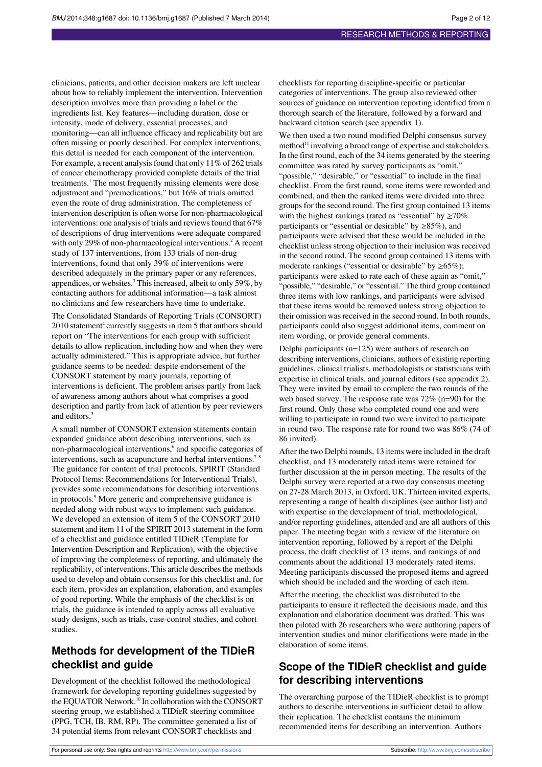clinicians, patients, and other decision makers are left unclear about how to reliably implement the intervention. Intervention description involves more than providing a label or the ingredients list. Key features—including duration, dose or intensity, mode of delivery, essential processes, and monitoring—can all influence efficacy and replicability but are often missing or poorly described. For complex interventions, this detail is needed for each component of the intervention. For example, a recent analysis found that only 11% of 262 trials of cancer chemotherapy provided complete details of the trial treatments.<sup>1</sup> The most frequently missing elements were dose adjustment and "premedications," but 16% of trials omitted even the route of drug administration. The completeness of intervention description is often worse for non-pharmacological interventions: one analysis of trials and reviews found that 67% of descriptions of drug interventions were adequate compared with only 29% of non-pharmacological interventions.<sup>2</sup> A recent study of 137 interventions, from 133 trials of non-drug interventions, found that only 39% of interventions were described adequately in the primary paper or any references, appendices, or websites.<sup>3</sup> This increased, albeit to only 59%, by contacting authors for additional information—a task almost no clinicians and few researchers have time to undertake.

The Consolidated Standards of Reporting Trials (CONSORT) 2010 statement<sup>4</sup> currently suggests in item 5 that authors should report on "The interventions for each group with sufficient details to allow replication, including how and when they were actually administered." This is appropriate advice, but further guidance seems to be needed: despite endorsement of the CONSORT statement by many journals, reporting of interventions is deficient. The problem arises partly from lack of awareness among authors about what comprises a good description and partly from lack of attention by peer reviewers and editors.<sup>5</sup>

A small number of CONSORT extension statements contain expanded guidance about describing interventions, such as non-pharmacological interventions,<sup>6</sup> and specific categories of interventions, such as acupuncture and herbal interventions.<sup>78</sup> The guidance for content of trial protocols, SPIRIT (Standard Protocol Items: Recommendations for Interventional Trials), provides some recommendations for describing interventions in protocols.<sup>9</sup> More generic and comprehensive guidance is needed along with robust ways to implement such guidance. We developed an extension of item 5 of the CONSORT 2010 statement and item 11 of the SPIRIT 2013 statement in the form of a checklist and guidance entitled TIDieR (Template for Intervention Description and Replication), with the objective of improving the completeness of reporting, and ultimately the replicability, of interventions. This article describes the methods used to develop and obtain consensus for this checklist and, for each item, provides an explanation, elaboration, and examples of good reporting. While the emphasis of the checklist is on trials, the guidance is intended to apply across all evaluative study designs, such as trials, case-control studies, and cohort studies.

## **Methods for development of the TIDieR checklist and guide**

Development of the checklist followed the methodological framework for developing reporting guidelines suggested by the EQUATOR Network.<sup>10</sup> In collaboration with the CONSORT steering group, we established a TIDieR steering committee (PPG, TCH, IB, RM, RP). The committee generated a list of 34 potential items from relevant CONSORT checklists and

checklists for reporting discipline-specific or particular categories of interventions. The group also reviewed other sources of guidance on intervention reporting identified from a thorough search of the literature, followed by a forward and backward citation search (see appendix 1).

We then used a two round modified Delphi consensus survey method<sup>11</sup> involving a broad range of expertise and stakeholders. In the first round, each of the 34 items generated by the steering committee was rated by survey participants as "omit," "possible," "desirable," or "essential" to include in the final checklist. From the first round, some items were reworded and combined, and then the ranked items were divided into three groups for the second round. The first group contained 13 items with the highest rankings (rated as "essential" by  $\geq 70\%$ participants or "essential or desirable" by  $\geq$ 85%), and participants were advised that these would be included in the checklist unless strong objection to their inclusion was received in the second round. The second group contained 13 items with moderate rankings ("essential or desirable" by  $\geq 65\%$ ); participants were asked to rate each of these again as "omit," "possible," "desirable," or "essential." The third group contained three items with low rankings, and participants were advised that these items would be removed unless strong objection to their omission was received in the second round. In both rounds, participants could also suggest additional items, comment on item wording, or provide general comments.

Delphi participants (n=125) were authors of research on describing interventions, clinicians, authors of existing reporting guidelines, clinical trialists, methodologists or statisticians with expertise in clinical trials, and journal editors (see appendix 2). They were invited by email to complete the two rounds of the web based survey. The response rate was 72% (n=90) for the first round. Only those who completed round one and were willing to participate in round two were invited to participate in round two. The response rate for round two was 86% (74 of 86 invited).

After the two Delphi rounds, 13 items were included in the draft checklist, and 13 moderately rated items were retained for further discussion at the in person meeting. The results of the Delphi survey were reported at a two day consensus meeting on 27-28 March 2013, in Oxford, UK. Thirteen invited experts, representing a range of health disciplines (see author list) and with expertise in the development of trial, methodological, and/or reporting guidelines, attended and are all authors of this paper. The meeting began with a review of the literature on intervention reporting, followed by a report of the Delphi process, the draft checklist of 13 items, and rankings of and comments about the additional 13 moderately rated items. Meeting participants discussed the proposed items and agreed which should be included and the wording of each item.

After the meeting, the checklist was distributed to the participants to ensure it reflected the decisions made, and this explanation and elaboration document was drafted. This was then piloted with 26 researchers who were authoring papers of intervention studies and minor clarifications were made in the elaboration of some items.

## **Scope of the TIDieR checklist and guide for describing interventions**

The overarching purpose of the TIDieR checklist is to prompt authors to describe interventions in sufficient detail to allow their replication. The checklist contains the minimum recommended items for describing an intervention. Authors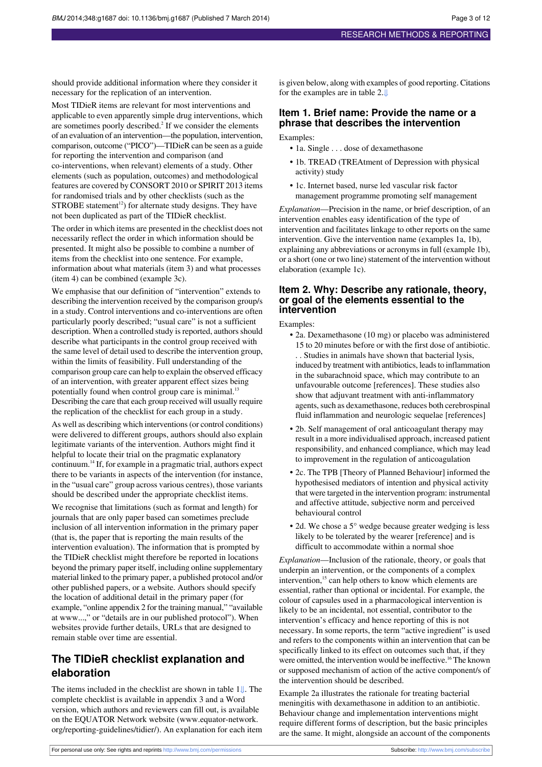should provide additional information where they consider it necessary for the replication of an intervention.

Most TIDieR items are relevant for most interventions and applicable to even apparently simple drug interventions, which are sometimes poorly described.<sup>2</sup> If we consider the elements of an evaluation of an intervention—the population, intervention, comparison, outcome ("PICO")—TIDieR can be seen as a guide for reporting the intervention and comparison (and co-interventions, when relevant) elements of a study. Other elements (such as population, outcomes) and methodological features are covered by CONSORT 2010 or SPIRIT 2013 items for randomised trials and by other checklists (such as the  $STROBE$  statement<sup>12</sup>) for alternate study designs. They have not been duplicated as part of the TIDieR checklist.

The order in which items are presented in the checklist does not necessarily reflect the order in which information should be presented. It might also be possible to combine a number of items from the checklist into one sentence. For example, information about what materials (item 3) and what processes (item 4) can be combined (example 3c).

We emphasise that our definition of "intervention" extends to describing the intervention received by the comparison group/s in a study. Control interventions and co-interventions are often particularly poorly described; "usual care" is not a sufficient description. When a controlled study is reported, authors should describe what participants in the control group received with the same level of detail used to describe the intervention group, within the limits of feasibility. Full understanding of the comparison group care can help to explain the observed efficacy of an intervention, with greater apparent effect sizes being potentially found when control group care is minimal.<sup>13</sup> Describing the care that each group received will usually require the replication of the checklist for each group in a study.

As well as describing which interventions(or control conditions) were delivered to different groups, authors should also explain legitimate variants of the intervention. Authors might find it helpful to locate their trial on the pragmatic explanatory continuum.<sup>14</sup> If, for example in a pragmatic trial, authors expect there to be variants in aspects of the intervention (for instance, in the "usual care" group across various centres), those variants should be described under the appropriate checklist items.

We recognise that limitations (such as format and length) for journals that are only paper based can sometimes preclude inclusion of all intervention information in the primary paper (that is, the paper that is reporting the main results of the intervention evaluation). The information that is prompted by the TIDieR checklist might therefore be reported in locations beyond the primary paper itself, including online supplementary material linked to the primary paper, a published protocol and/or other published papers, or a website. Authors should specify the location of additional detail in the primary paper (for example, "online appendix 2 for the training manual," "available at [www.](http://www/)..," or "details are in our published protocol"). When websites provide further details, URLs that are designed to remain stable over time are essential.

### **The TIDieR checklist explanation and elaboration**

The items included in the checklist are shown in table 1[⇓.](#page-9-0) The complete checklist is available in appendix 3 and a Word version, which authors and reviewers can fill out, is available on the EQUATOR Network website ([www.equator-network.](http://www.equator-network.org/reporting-guidelines/tidier/) [org/reporting-guidelines/tidier/\)](http://www.equator-network.org/reporting-guidelines/tidier/). An explanation for each item is given below, along with examples of good reporting. Citations for the examples are in table 2.[⇓](#page-10-0)

#### **Item 1. Brief name: Provide the name or a phrase that describes the intervention**

Examples:

- 1a. Single . . . dose of dexamethasone
- **•** 1b. TREAD (TREAtment of Depression with physical activity) study
- **•** 1c. Internet based, nurse led vascular risk factor management programme promoting self management

*Explanation*—Precision in the name, or brief description, of an intervention enables easy identification of the type of intervention and facilitates linkage to other reports on the same intervention. Give the intervention name (examples 1a, 1b), explaining any abbreviations or acronyms in full (example 1b), or a short (one or two line) statement of the intervention without elaboration (example 1c).

#### **Item 2. Why: Describe any rationale, theory, or goal of the elements essential to the intervention**

Examples:

- **•** 2a. Dexamethasone (10 mg) or placebo was administered 15 to 20 minutes before or with the first dose of antibiotic. . . Studies in animals have shown that bacterial lysis, induced by treatment with antibiotics, leads to inflammation in the subarachnoid space, which may contribute to an unfavourable outcome [references]. These studies also show that adjuvant treatment with anti-inflammatory agents, such as dexamethasone, reduces both cerebrospinal fluid inflammation and neurologic sequelae [references]
- **•** 2b. Self management of oral anticoagulant therapy may result in a more individualised approach, increased patient responsibility, and enhanced compliance, which may lead to improvement in the regulation of anticoagulation
- **•** 2c. The TPB [Theory of Planned Behaviour] informed the hypothesised mediators of intention and physical activity that were targeted in the intervention program: instrumental and affective attitude, subjective norm and perceived behavioural control
- **•** 2d. We chose a 5° wedge because greater wedging is less likely to be tolerated by the wearer [reference] and is difficult to accommodate within a normal shoe

*Explanation*—Inclusion of the rationale, theory, or goals that underpin an intervention, or the components of a complex intervention,<sup>15</sup> can help others to know which elements are essential, rather than optional or incidental. For example, the colour of capsules used in a pharmacological intervention is likely to be an incidental, not essential, contributor to the intervention's efficacy and hence reporting of this is not necessary. In some reports, the term "active ingredient" is used and refers to the components within an intervention that can be specifically linked to its effect on outcomes such that, if they were omitted, the intervention would be ineffective.<sup>16</sup> The known or supposed mechanism of action of the active component/s of the intervention should be described.

Example 2a illustrates the rationale for treating bacterial meningitis with dexamethasone in addition to an antibiotic. Behaviour change and implementation interventions might require different forms of description, but the basic principles are the same. It might, alongside an account of the components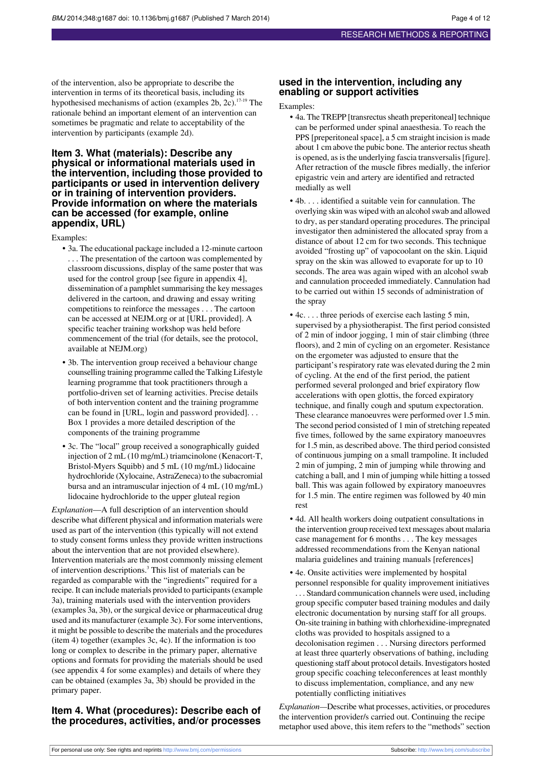of the intervention, also be appropriate to describe the intervention in terms of its theoretical basis, including its hypothesised mechanisms of action (examples 2b, 2c).<sup>17-19</sup> The rationale behind an important element of an intervention can sometimes be pragmatic and relate to acceptability of the intervention by participants (example 2d).

#### **Item 3. What (materials): Describe any physical or informational materials used in the intervention, including those provided to participants or used in intervention delivery or in training of intervention providers. Provide information on where the materials can be accessed (for example, online appendix, URL)**

Examples:

- **•** 3a. The educational package included a 12-minute cartoon . . . The presentation of the cartoon was complemented by classroom discussions, display of the same poster that was used for the control group [see figure in appendix 4], dissemination of a pamphlet summarising the key messages delivered in the cartoon, and drawing and essay writing competitions to reinforce the messages . . . The cartoon can be accessed at NEJM.org or at [URL provided]. A specific teacher training workshop was held before commencement of the trial (for details, see the protocol, available at NEJM.org)
- **•** 3b. The intervention group received a behaviour change counselling training programme called the Talking Lifestyle learning programme that took practitioners through a portfolio-driven set of learning activities. Precise details of both intervention content and the training programme can be found in [URL, login and password provided]. . . Box 1 provides a more detailed description of the components of the training programme
- **•** 3c. The "local" group received a sonographically guided injection of 2 mL (10 mg/mL) triamcinolone (Kenacort-T, Bristol-Myers Squibb) and 5 mL (10 mg/mL) lidocaine hydrochloride (Xylocaine, AstraZeneca) to the subacromial bursa and an intramuscular injection of 4 mL (10 mg/mL) lidocaine hydrochloride to the upper gluteal region

*Explanation*—A full description of an intervention should describe what different physical and information materials were used as part of the intervention (this typically will not extend to study consent forms unless they provide written instructions about the intervention that are not provided elsewhere). Intervention materials are the most commonly missing element of intervention descriptions.<sup>3</sup> This list of materials can be regarded as comparable with the "ingredients" required for a recipe. It can include materials provided to participants(example 3a), training materials used with the intervention providers (examples 3a, 3b), or the surgical device or pharmaceutical drug used and its manufacturer (example 3c). For some interventions, it might be possible to describe the materials and the procedures (item 4) together (examples 3c, 4c). If the information is too long or complex to describe in the primary paper, alternative options and formats for providing the materials should be used (see appendix 4 for some examples) and details of where they can be obtained (examples 3a, 3b) should be provided in the primary paper.

#### **Item 4. What (procedures): Describe each of the procedures, activities, and/or processes**

#### **used in the intervention, including any enabling or support activities**

Examples:

- 4a. The TREPP [transrectus sheath preperitoneal] technique can be performed under spinal anaesthesia. To reach the PPS [preperitoneal space], a 5 cm straight incision is made about 1 cm above the pubic bone. The anterior rectus sheath is opened, as is the underlying fascia transversalis [figure]. After retraction of the muscle fibres medially, the inferior epigastric vein and artery are identified and retracted medially as well
- **•** 4b. . . . identified a suitable vein for cannulation. The overlying skin was wiped with an alcohol swab and allowed to dry, as per standard operating procedures. The principal investigator then administered the allocated spray from a distance of about 12 cm for two seconds. This technique avoided "frosting up" of vapocoolant on the skin. Liquid spray on the skin was allowed to evaporate for up to 10 seconds. The area was again wiped with an alcohol swab and cannulation proceeded immediately. Cannulation had to be carried out within 15 seconds of administration of the spray
- **•** 4c. . . . three periods of exercise each lasting 5 min, supervised by a physiotherapist. The first period consisted of 2 min of indoor jogging, 1 min of stair climbing (three floors), and 2 min of cycling on an ergometer. Resistance on the ergometer was adjusted to ensure that the participant's respiratory rate was elevated during the 2 min of cycling. At the end of the first period, the patient performed several prolonged and brief expiratory flow accelerations with open glottis, the forced expiratory technique, and finally cough and sputum expectoration. These clearance manoeuvres were performed over 1.5 min. The second period consisted of 1 min of stretching repeated five times, followed by the same expiratory manoeuvres for 1.5 min, as described above. The third period consisted of continuous jumping on a small trampoline. It included 2 min of jumping, 2 min of jumping while throwing and catching a ball, and 1 min of jumping while hitting a tossed ball. This was again followed by expiratory manoeuvres for 1.5 min. The entire regimen was followed by 40 min rest
- **•** 4d. All health workers doing outpatient consultations in the intervention group received text messages about malaria case management for 6 months . . . The key messages addressed recommendations from the Kenyan national malaria guidelines and training manuals [references]
- **•** 4e. Onsite activities were implemented by hospital personnel responsible for quality improvement initiatives . . . Standard communication channels were used, including group specific computer based training modules and daily electronic documentation by nursing staff for all groups. On-site training in bathing with chlorhexidine-impregnated cloths was provided to hospitals assigned to a decolonisation regimen . . . Nursing directors performed at least three quarterly observations of bathing, including questioning staff about protocol details. Investigators hosted group specific coaching teleconferences at least monthly to discuss implementation, compliance, and any new potentially conflicting initiatives

*Explanation—*Describe what processes, activities, or procedures the intervention provider/s carried out. Continuing the recipe metaphor used above, this item refers to the "methods" section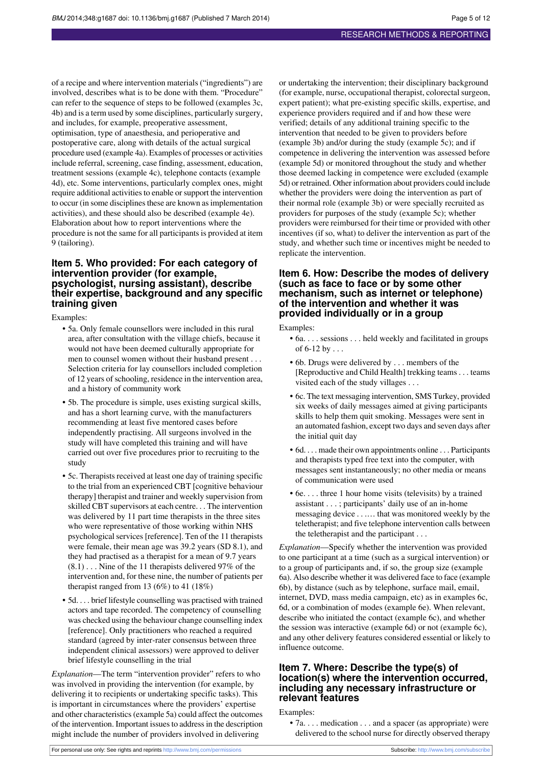of a recipe and where intervention materials ("ingredients") are involved, describes what is to be done with them. "Procedure" can refer to the sequence of steps to be followed (examples 3c, 4b) and is a term used by some disciplines, particularly surgery, and includes, for example, preoperative assessment, optimisation, type of anaesthesia, and perioperative and postoperative care, along with details of the actual surgical procedure used (example 4a). Examples of processes or activities include referral, screening, case finding, assessment, education, treatment sessions (example 4c), telephone contacts (example 4d), etc. Some interventions, particularly complex ones, might require additional activities to enable or support the intervention to occur (in some disciplines these are known as implementation activities), and these should also be described (example 4e). Elaboration about how to report interventions where the procedure is not the same for all participants is provided at item 9 (tailoring).

#### **Item 5. Who provided: For each category of intervention provider (for example, psychologist, nursing assistant), describe their expertise, background and any specific training given**

Examples:

- **•** 5a. Only female counsellors were included in this rural area, after consultation with the village chiefs, because it would not have been deemed culturally appropriate for men to counsel women without their husband present . . . Selection criteria for lay counsellors included completion of 12 years of schooling, residence in the intervention area, and a history of community work
- **•** 5b. The procedure is simple, uses existing surgical skills, and has a short learning curve, with the manufacturers recommending at least five mentored cases before independently practising. All surgeons involved in the study will have completed this training and will have carried out over five procedures prior to recruiting to the study
- **•** 5c. Therapists received at least one day of training specific to the trial from an experienced CBT [cognitive behaviour therapy] therapist and trainer and weekly supervision from skilled CBT supervisors at each centre. . . The intervention was delivered by 11 part time therapists in the three sites who were representative of those working within NHS psychological services [reference]. Ten of the 11 therapists were female, their mean age was 39.2 years (SD 8.1), and they had practised as a therapist for a mean of 9.7 years  $(8.1)$ ... Nine of the 11 therapists delivered 97% of the intervention and, for these nine, the number of patients per therapist ranged from 13 (6%) to 41 (18%)
- **•** 5d. . . . brief lifestyle counselling was practised with trained actors and tape recorded. The competency of counselling was checked using the behaviour change counselling index [reference]. Only practitioners who reached a required standard (agreed by inter-rater consensus between three independent clinical assessors) were approved to deliver brief lifestyle counselling in the trial

*Explanation*—The term "intervention provider" refers to who was involved in providing the intervention (for example, by delivering it to recipients or undertaking specific tasks). This is important in circumstances where the providers' expertise and other characteristics(example 5a) could affect the outcomes of the intervention. Important issues to address in the description might include the number of providers involved in delivering

or undertaking the intervention; their disciplinary background (for example, nurse, occupational therapist, colorectal surgeon, expert patient); what pre-existing specific skills, expertise, and experience providers required and if and how these were verified; details of any additional training specific to the intervention that needed to be given to providers before (example 3b) and/or during the study (example 5c); and if competence in delivering the intervention was assessed before (example 5d) or monitored throughout the study and whether those deemed lacking in competence were excluded (example 5d) or retrained. Other information about providers could include whether the providers were doing the intervention as part of their normal role (example 3b) or were specially recruited as providers for purposes of the study (example 5c); whether providers were reimbursed for their time or provided with other incentives (if so, what) to deliver the intervention as part of the study, and whether such time or incentives might be needed to replicate the intervention.

#### **Item 6. How: Describe the modes of delivery (such as face to face or by some other mechanism, such as internet or telephone) of the intervention and whether it was provided individually or in a group**

Examples:

- 6a. . . . sessions . . . held weekly and facilitated in groups of 6-12 by  $\ldots$
- **•** 6b. Drugs were delivered by . . . members of the [Reproductive and Child Health] trekking teams . . . teams visited each of the study villages . . .
- **•** 6c. The text messaging intervention, SMS Turkey, provided six weeks of daily messages aimed at giving participants skills to help them quit smoking. Messages were sent in an automated fashion, except two days and seven days after the initial quit day
- **•** 6d. . . . made their own appointments online . . . Participants and therapists typed free text into the computer, with messages sent instantaneously; no other media or means of communication were used
- **•** 6e. . . . three 1 hour home visits (televisits) by a trained assistant . . . ; participants' daily use of an in-home messaging device . . .… that was monitored weekly by the teletherapist; and five telephone intervention calls between the teletherapist and the participant . . .

*Explanation*—Specify whether the intervention was provided to one participant at a time (such as a surgical intervention) or to a group of participants and, if so, the group size (example 6a). Also describe whether it was delivered face to face (example 6b), by distance (such as by telephone, surface mail, email, internet, DVD, mass media campaign, etc) as in examples 6c, 6d, or a combination of modes (example 6e). When relevant, describe who initiated the contact (example 6c), and whether the session was interactive (example 6d) or not (example 6c), and any other delivery features considered essential or likely to influence outcome.

#### **Item 7. Where: Describe the type(s) of location(s) where the intervention occurred, including any necessary infrastructure or relevant features**

Examples:

• 7a. . . . medication . . . and a spacer (as appropriate) were delivered to the school nurse for directly observed therapy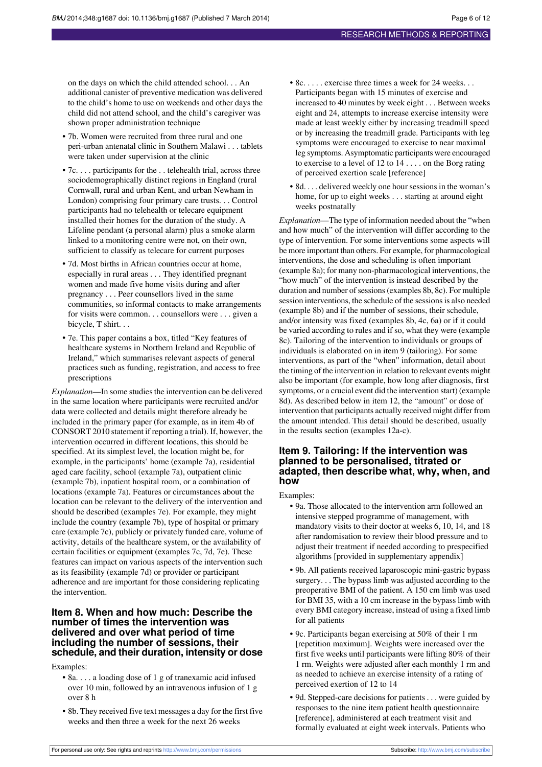on the days on which the child attended school. . . An additional canister of preventive medication was delivered to the child's home to use on weekends and other days the child did not attend school, and the child's caregiver was shown proper administration technique

- **•** 7b. Women were recruited from three rural and one peri-urban antenatal clinic in Southern Malawi . . . tablets were taken under supervision at the clinic
- 7c... participants for the ... telehealth trial, across three sociodemographically distinct regions in England (rural Cornwall, rural and urban Kent, and urban Newham in London) comprising four primary care trusts. . . Control participants had no telehealth or telecare equipment installed their homes for the duration of the study. A Lifeline pendant (a personal alarm) plus a smoke alarm linked to a monitoring centre were not, on their own, sufficient to classify as telecare for current purposes
- **•** 7d. Most births in African countries occur at home, especially in rural areas . . . They identified pregnant women and made five home visits during and after pregnancy . . . Peer counsellors lived in the same communities, so informal contacts to make arrangements for visits were common. . . counsellors were . . . given a bicycle, T shirt. . .
- **•** 7e. This paper contains a box, titled "Key features of healthcare systems in Northern Ireland and Republic of Ireland," which summarises relevant aspects of general practices such as funding, registration, and access to free prescriptions

*Explanation*—In some studies the intervention can be delivered in the same location where participants were recruited and/or data were collected and details might therefore already be included in the primary paper (for example, as in item 4b of CONSORT 2010 statement if reporting a trial). If, however, the intervention occurred in different locations, this should be specified. At its simplest level, the location might be, for example, in the participants' home (example 7a), residential aged care facility, school (example 7a), outpatient clinic (example 7b), inpatient hospital room, or a combination of locations (example 7a). Features or circumstances about the location can be relevant to the delivery of the intervention and should be described (examples 7e). For example, they might include the country (example 7b), type of hospital or primary care (example 7c), publicly or privately funded care, volume of activity, details of the healthcare system, or the availability of certain facilities or equipment (examples 7c, 7d, 7e). These features can impact on various aspects of the intervention such as its feasibility (example 7d) or provider or participant adherence and are important for those considering replicating the intervention.

#### **Item 8. When and how much: Describe the number of times the intervention was delivered and over what period of time including the number of sessions, their schedule, and their duration, intensity or dose**

Examples:

- **•** 8a. . . . a loading dose of 1 g of tranexamic acid infused over 10 min, followed by an intravenous infusion of 1 g over 8 h
- **•** 8b. They received five text messages a day for the first five weeks and then three a week for the next 26 weeks
- 8c. . . . . exercise three times a week for 24 weeks. . . Participants began with 15 minutes of exercise and increased to 40 minutes by week eight . . . Between weeks eight and 24, attempts to increase exercise intensity were made at least weekly either by increasing treadmill speed or by increasing the treadmill grade. Participants with leg symptoms were encouraged to exercise to near maximal leg symptoms. Asymptomatic participants were encouraged to exercise to a level of 12 to 14 . . . . on the Borg rating of perceived exertion scale [reference]
- **•** 8d. . . . delivered weekly one hour sessions in the woman's home, for up to eight weeks . . . starting at around eight weeks postnatally

*Explanation*—The type of information needed about the "when and how much" of the intervention will differ according to the type of intervention. For some interventions some aspects will be more important than others. For example, for pharmacological interventions, the dose and scheduling is often important (example 8a); for many non-pharmacological interventions, the "how much" of the intervention is instead described by the duration and number of sessions (examples 8b, 8c). For multiple session interventions, the schedule of the sessions is also needed (example 8b) and if the number of sessions, their schedule, and/or intensity was fixed (examples 8b, 4c, 6a) or if it could be varied according to rules and if so, what they were (example 8c). Tailoring of the intervention to individuals or groups of individuals is elaborated on in item 9 (tailoring). For some interventions, as part of the "when" information, detail about the timing of the intervention in relation to relevant events might also be important (for example, how long after diagnosis, first symptoms, or a crucial event did the intervention start) (example 8d). As described below in item 12, the "amount" or dose of intervention that participants actually received might differ from the amount intended. This detail should be described, usually in the results section (examples 12a-c).

#### **Item 9. Tailoring: If the intervention was planned to be personalised, titrated or adapted, then describe what, why, when, and how**

Examples:

- **•** 9a. Those allocated to the intervention arm followed an intensive stepped programme of management, with mandatory visits to their doctor at weeks 6, 10, 14, and 18 after randomisation to review their blood pressure and to adjust their treatment if needed according to prespecified algorithms [provided in supplementary appendix]
- **•** 9b. All patients received laparoscopic mini-gastric bypass surgery. . . The bypass limb was adjusted according to the preoperative BMI of the patient. A 150 cm limb was used for BMI 35, with a 10 cm increase in the bypass limb with every BMI category increase, instead of using a fixed limb for all patients
- **•** 9c. Participants began exercising at 50% of their 1 rm [repetition maximum]. Weights were increased over the first five weeks until participants were lifting 80% of their 1 rm. Weights were adjusted after each monthly 1 rm and as needed to achieve an exercise intensity of a rating of perceived exertion of 12 to 14
- **•** 9d. Stepped-care decisions for patients . . . were guided by responses to the nine item patient health questionnaire [reference], administered at each treatment visit and formally evaluated at eight week intervals. Patients who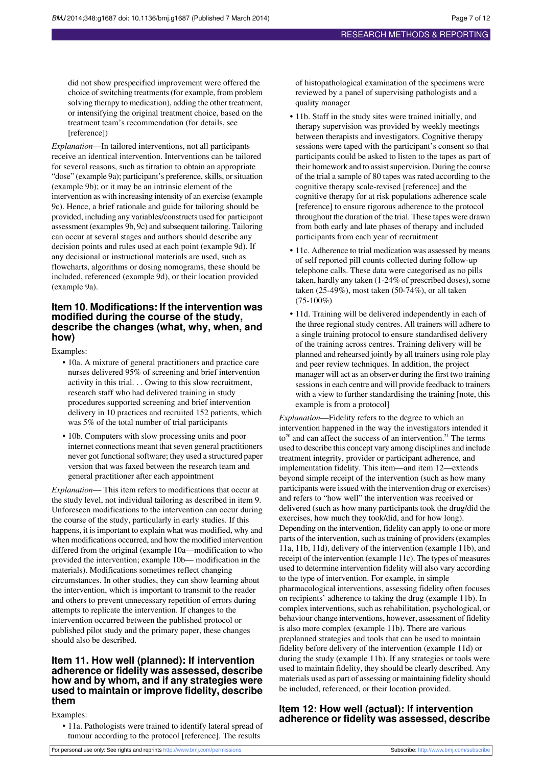did not show prespecified improvement were offered the choice of switching treatments (for example, from problem solving therapy to medication), adding the other treatment, or intensifying the original treatment choice, based on the treatment team's recommendation (for details, see [reference])

*Explanation*—In tailored interventions, not all participants receive an identical intervention. Interventions can be tailored for several reasons, such as titration to obtain an appropriate "dose" (example 9a); participant's preference, skills, or situation (example 9b); or it may be an intrinsic element of the intervention as with increasing intensity of an exercise (example 9c). Hence, a brief rationale and guide for tailoring should be provided, including any variables/constructs used for participant assessment (examples 9b, 9c) and subsequent tailoring. Tailoring can occur at several stages and authors should describe any decision points and rules used at each point (example 9d). If any decisional or instructional materials are used, such as flowcharts, algorithms or dosing nomograms, these should be included, referenced (example 9d), or their location provided (example 9a).

#### **Item 10. Modifications: If the intervention was modified during the course of the study, describe the changes (what, why, when, and how)**

Examples:

- **•** 10a. A mixture of general practitioners and practice care nurses delivered 95% of screening and brief intervention activity in this trial. . . Owing to this slow recruitment, research staff who had delivered training in study procedures supported screening and brief intervention delivery in 10 practices and recruited 152 patients, which was 5% of the total number of trial participants
- **•** 10b. Computers with slow processing units and poor internet connections meant that seven general practitioners never got functional software; they used a structured paper version that was faxed between the research team and general practitioner after each appointment

*Explanation*— This item refers to modifications that occur at the study level, not individual tailoring as described in item 9. Unforeseen modifications to the intervention can occur during the course of the study, particularly in early studies. If this happens, it is important to explain what was modified, why and when modifications occurred, and how the modified intervention differed from the original (example 10a—modification to who provided the intervention; example 10b— modification in the materials). Modifications sometimes reflect changing circumstances. In other studies, they can show learning about the intervention, which is important to transmit to the reader and others to prevent unnecessary repetition of errors during attempts to replicate the intervention. If changes to the intervention occurred between the published protocol or published pilot study and the primary paper, these changes should also be described.

#### **Item 11. How well (planned): If intervention adherence or fidelity was assessed, describe how and by whom, and if any strategies were used to maintain or improve fidelity, describe them**

Examples:

**•** 11a. Pathologists were trained to identify lateral spread of tumour according to the protocol [reference]. The results

of histopathological examination of the specimens were reviewed by a panel of supervising pathologists and a quality manager

- **•** 11b. Staff in the study sites were trained initially, and therapy supervision was provided by weekly meetings between therapists and investigators. Cognitive therapy sessions were taped with the participant's consent so that participants could be asked to listen to the tapes as part of their homework and to assist supervision. During the course of the trial a sample of 80 tapes was rated according to the cognitive therapy scale-revised [reference] and the cognitive therapy for at risk populations adherence scale [reference] to ensure rigorous adherence to the protocol throughout the duration of the trial. These tapes were drawn from both early and late phases of therapy and included participants from each year of recruitment
- **•** 11c. Adherence to trial medication was assessed by means of self reported pill counts collected during follow-up telephone calls. These data were categorised as no pills taken, hardly any taken (1-24% of prescribed doses), some taken (25-49%), most taken (50-74%), or all taken  $(75-100\%)$
- **•** 11d. Training will be delivered independently in each of the three regional study centres. All trainers will adhere to a single training protocol to ensure standardised delivery of the training across centres. Training delivery will be planned and rehearsed jointly by all trainers using role play and peer review techniques. In addition, the project manager will act as an observer during the first two training sessions in each centre and will provide feedback to trainers with a view to further standardising the training [note, this example is from a protocol]

*Explanation*—Fidelity refers to the degree to which an intervention happened in the way the investigators intended it  $to<sup>20</sup>$  and can affect the success of an intervention.<sup>21</sup> The terms used to describe this concept vary among disciplines and include treatment integrity, provider or participant adherence, and implementation fidelity. This item—and item 12—extends beyond simple receipt of the intervention (such as how many participants were issued with the intervention drug or exercises) and refers to "how well" the intervention was received or delivered (such as how many participants took the drug/did the exercises, how much they took/did, and for how long). Depending on the intervention, fidelity can apply to one or more parts of the intervention, such as training of providers (examples 11a, 11b, 11d), delivery of the intervention (example 11b), and receipt of the intervention (example 11c). The types of measures used to determine intervention fidelity will also vary according to the type of intervention. For example, in simple pharmacological interventions, assessing fidelity often focuses on recipients' adherence to taking the drug (example 11b). In complex interventions, such as rehabilitation, psychological, or behaviour change interventions, however, assessment of fidelity is also more complex (example 11b). There are various preplanned strategies and tools that can be used to maintain fidelity before delivery of the intervention (example 11d) or during the study (example 11b). If any strategies or tools were used to maintain fidelity, they should be clearly described. Any materials used as part of assessing or maintaining fidelity should be included, referenced, or their location provided.

#### **Item 12: How well (actual): If intervention adherence or fidelity was assessed, describe**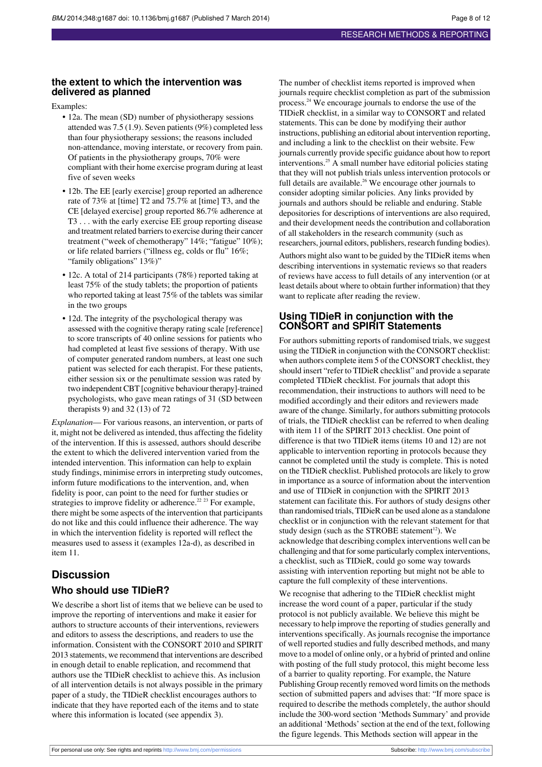#### **the extent to which the intervention was delivered as planned**

Examples:

- **•** 12a. The mean (SD) number of physiotherapy sessions attended was 7.5 (1.9). Seven patients(9%) completed less than four physiotherapy sessions; the reasons included non-attendance, moving interstate, or recovery from pain. Of patients in the physiotherapy groups, 70% were compliant with their home exercise program during at least five of seven weeks
- **•** 12b. The EE [early exercise] group reported an adherence rate of 73% at [time] T2 and 75.7% at [time] T3, and the CE [delayed exercise] group reported 86.7% adherence at T3 . . . with the early exercise EE group reporting disease and treatment related barriers to exercise during their cancer treatment ("week of chemotherapy" 14%; "fatigue" 10%); or life related barriers ("illness eg, colds or flu" 16%; "family obligations" 13%)"
- **•** 12c. A total of 214 participants (78%) reported taking at least 75% of the study tablets; the proportion of patients who reported taking at least 75% of the tablets was similar in the two groups
- **•** 12d. The integrity of the psychological therapy was assessed with the cognitive therapy rating scale [reference] to score transcripts of 40 online sessions for patients who had completed at least five sessions of therapy. With use of computer generated random numbers, at least one such patient was selected for each therapist. For these patients, either session six or the penultimate session was rated by two independent CBT [cognitive behaviour therapy]-trained psychologists, who gave mean ratings of 31 (SD between therapists 9) and 32 (13) of 72

*Explanation*— For various reasons, an intervention, or parts of it, might not be delivered as intended, thus affecting the fidelity of the intervention. If this is assessed, authors should describe the extent to which the delivered intervention varied from the intended intervention. This information can help to explain study findings, minimise errors in interpreting study outcomes, inform future modifications to the intervention, and, when fidelity is poor, can point to the need for further studies or strategies to improve fidelity or adherence.<sup>22</sup> <sup>23</sup> For example, there might be some aspects of the intervention that participants do not like and this could influence their adherence. The way in which the intervention fidelity is reported will reflect the measures used to assess it (examples 12a-d), as described in item 11.

## **Discussion Who should use TIDieR?**

We describe a short list of items that we believe can be used to improve the reporting of interventions and make it easier for authors to structure accounts of their interventions, reviewers and editors to assess the descriptions, and readers to use the information. Consistent with the CONSORT 2010 and SPIRIT 2013 statements, we recommend that interventions are described in enough detail to enable replication, and recommend that authors use the TIDieR checklist to achieve this. As inclusion of all intervention details is not always possible in the primary paper of a study, the TIDieR checklist encourages authors to indicate that they have reported each of the items and to state where this information is located (see appendix 3).

The number of checklist items reported is improved when journals require checklist completion as part of the submission process.<sup>24</sup> We encourage journals to endorse the use of the TIDieR checklist, in a similar way to CONSORT and related statements. This can be done by modifying their author instructions, publishing an editorial about intervention reporting, and including a link to the checklist on their website. Few journals currently provide specific guidance about how to report interventions.<sup>25</sup> A small number have editorial policies stating that they will not publish trials unless intervention protocols or full details are available.<sup>26</sup> We encourage other journals to consider adopting similar policies. Any links provided by journals and authors should be reliable and enduring. Stable depositories for descriptions of interventions are also required, and their development needs the contribution and collaboration of all stakeholders in the research community (such as researchers, journal editors, publishers, research funding bodies).

Authors might also want to be guided by the TIDieR items when describing interventions in systematic reviews so that readers of reviews have access to full details of any intervention (or at least details about where to obtain further information) that they want to replicate after reading the review.

#### **Using TIDieR in conjunction with the CONSORT and SPIRIT Statements**

For authors submitting reports of randomised trials, we suggest using the TIDieR in conjunction with the CONSORT checklist: when authors complete item 5 of the CONSORT checklist, they should insert "refer to TIDieR checklist" and provide a separate completed TIDieR checklist. For journals that adopt this recommendation, their instructions to authors will need to be modified accordingly and their editors and reviewers made aware of the change. Similarly, for authors submitting protocols of trials, the TIDieR checklist can be referred to when dealing with item 11 of the SPIRIT 2013 checklist. One point of difference is that two TIDieR items (items 10 and 12) are not applicable to intervention reporting in protocols because they cannot be completed until the study is complete. This is noted on the TIDieR checklist. Published protocols are likely to grow in importance as a source of information about the intervention and use of TIDieR in conjunction with the SPIRIT 2013 statement can facilitate this. For authors of study designs other than randomised trials, TIDieR can be used alone as a standalone checklist or in conjunction with the relevant statement for that study design (such as the STROBE statement<sup>12</sup>). We acknowledge that describing complex interventions well can be challenging and that for some particularly complex interventions, a checklist, such as TIDieR, could go some way towards assisting with intervention reporting but might not be able to capture the full complexity of these interventions.

We recognise that adhering to the TIDieR checklist might increase the word count of a paper, particular if the study protocol is not publicly available. We believe this might be necessary to help improve the reporting of studies generally and interventions specifically. As journals recognise the importance of well reported studies and fully described methods, and many move to a model of online only, or a hybrid of printed and online with posting of the full study protocol, this might become less of a barrier to quality reporting. For example, the Nature Publishing Group recently removed word limits on the methods section of submitted papers and advises that: "If more space is required to describe the methods completely, the author should include the 300-word section 'Methods Summary' and provide an additional 'Methods'section at the end of the text, following the figure legends. This Methods section will appear in the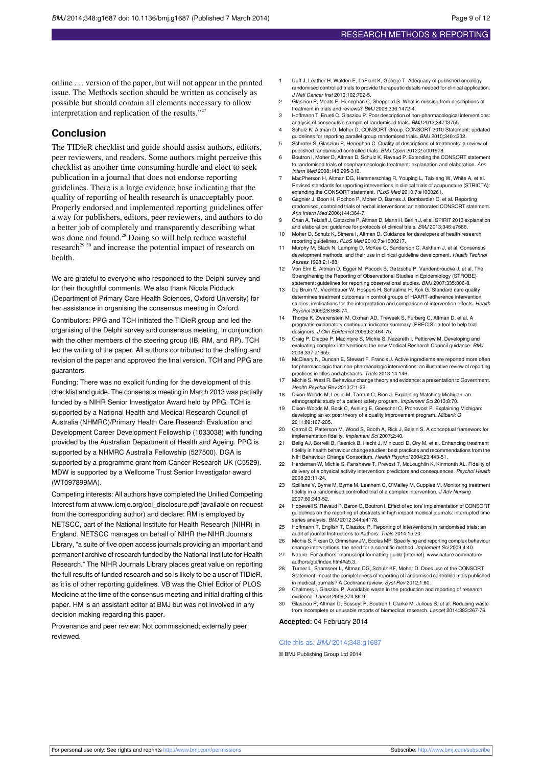online . . . version of the paper, but will not appear in the printed issue. The Methods section should be written as concisely as possible but should contain all elements necessary to allow interpretation and replication of the results."<sup>27</sup>

#### **Conclusion**

The TIDieR checklist and guide should assist authors, editors, peer reviewers, and readers. Some authors might perceive this checklist as another time consuming hurdle and elect to seek publication in a journal that does not endorse reporting guidelines. There is a large evidence base indicating that the quality of reporting of health research is unacceptably poor. Properly endorsed and implemented reporting guidelines offer a way for publishers, editors, peer reviewers, and authors to do a better job of completely and transparently describing what was done and found.<sup>28</sup> Doing so will help reduce wasteful research<sup>29 30</sup> and increase the potential impact of research on health.

We are grateful to everyone who responded to the Delphi survey and for their thoughtful comments. We also thank Nicola Pidduck (Department of Primary Care Health Sciences, Oxford University) for her assistance in organising the consensus meeting in Oxford.

Contributors: PPG and TCH initiated the TIDieR group and led the organising of the Delphi survey and consensus meeting, in conjunction with the other members of the steering group (IB, RM, and RP). TCH led the writing of the paper. All authors contributed to the drafting and revision of the paper and approved the final version. TCH and PPG are guarantors.

Funding: There was no explicit funding for the development of this checklist and guide. The consensus meeting in March 2013 was partially funded by a NIHR Senior Investigator Award held by PPG. TCH is supported by a National Health and Medical Research Council of Australia (NHMRC)/Primary Health Care Research Evaluation and Development Career Development Fellowship (1033038) with funding provided by the Australian Department of Health and Ageing. PPG is supported by a NHMRC Australia Fellowship (527500). DGA is supported by a programme grant from Cancer Research UK (C5529). MDW is supported by a Wellcome Trust Senior Investigator award (WT097899MA).

Competing interests: All authors have completed the Unified Competing Interest form at [www.icmje.org/coi\\_disclosure.pdf](http://www.icmje.org/coi_disclosure.pdf) (available on request from the corresponding author) and declare: RM is employed by NETSCC, part of the National Institute for Health Research (NIHR) in England. NETSCC manages on behalf of NIHR the NIHR Journals Library, "a suite of five open access journals providing an important and permanent archive of research funded by the National Institute for Health Research." The NIHR Journals Library places great value on reporting the full results of funded research and so is likely to be a user of TIDieR, as it is of other reporting guidelines. VB was the Chief Editor of PLOS Medicine at the time of the consensus meeting and initial drafting of this paper. HM is an assistant editor at BMJ but was not involved in any decision making regarding this paper.

Provenance and peer review: Not commissioned; externally peer reviewed.

- 1 Duff J, Leather H, Walden E, LaPlant K, George T. Adequacy of published oncology randomised controlled trials to provide therapeutic details needed for clinical application. J Natl Cancer Inst 2010;102:702-5.
- 2 Glasziou P, Meats E, Heneghan C, Shepperd S. What is missing from descriptions of treatment in trials and reviews? BMJ 2008;336:1472-4.
- 3 Hoffmann T, Erueti C, Glasziou P. Poor description of non-pharmacological interventions: analysis of consecutive sample of randomised trials. BMJ 2013:347:f3755.
- 4 Schulz K, Altman D, Moher D, CONSORT Group. CONSORT 2010 Statement guidelines for reporting parallel group randomised trials. BMJ 2010;340:c332.
- 5 Schroter S, Glasziou P, Heneghan C. Quality of descriptions of treatments: a review of published randomised controlled trials. BMJ Open 2012;2:e001978.
- 6 Boutron I, Moher D, Altman D, Schulz K, Ravaud P. Extending the CONSORT statement to randomised trials of nonpharmacologic treatment: explanation and elaboration. Ann Intern Med 2008;148:295-310.
- MacPherson H, Altman DG, Hammerschlag R, Youping L, Taixiang W, White A, et al. Revised standards for reporting interventions in clinical trials of acupuncture (STRICTA): extending the CONSORT statement. PLoS Med 2010;7:e1000261.
- Gagnier J, Boon H, Rochon P, Moher D, Barnes J, Bombardier C, et al. Reporting randomised, controlled trials of herbal interventions: an elaborated CONSORT statement. Ann Intern Med 2006;144:364-7.
- 9 Chan A, Tetzlaff J, Gøtzsche P, Altman D, Mann H, Berlin J, et al. SPIRIT 2013 explanation and elaboration: guidance for protocols of clinical trials. BMJ 2013;346:e7586.
- 10 Moher D, Schulz K, Simera I, Altman D. Guidance for developers of health research reporting guidelines. PLoS Med 2010;7:e1000217.
- Murphy M, Black N, Lamping D, McKee C, Sanderson C, Askham J, et al. Consensus development methods, and their use in clinical guideline development. Health Technol Assess 1998;2:1-88.
- 12 Von Elm E, Altman D, Egger M, Pocock S, Gøtzsche P, Vandenbroucke J, et al. The Strengthening the Reporting of Observational Studies in Epidemiology (STROBE) statement: guidelines for reporting observational studies. BMJ 2007;335:806-8.
- 13 De Bruin M, Viechtbauer W, Hospers H, Schaalma H, Kok G. Standard care quality determines treatment outcomes in control groups of HAART-adherence intervention studies: implications for the interpretation and comparison of intervention effects. Health Psychol 2009;28:668-74.
- 14 Thorpe K, Zwarenstein M, Oxman AD, Treweek S, Furberg C, Altman D, et al. A pragmatic-explanatory continuum indicator summary (PRECIS): a tool to help trial designers. J Clin Epidemiol 2009;62:464-75.
- 15 Craig P, Dieppe P, Macintyre S, Michie S, Nazareth I, Petticrew M. Developing and evaluating complex interventions: the new Medical Research Council guidance. BMJ 2008;337:a1655.
- 16 McCleary N, Duncan E, Stewart F, Francis J. Active ingredients are reported more often for pharmacologic than non-pharmacologic interventions: an illustrative review of reporting practices in titles and abstracts. Trials 2013;14:146.
- 17 Michie S, West R. Behaviour change theory and evidence: a presentation to Government. Health Psychol Rev 2013;7:1-22.
- 18 Dixon-Woods M, Leslie M, Tarrant C, Bion J. Explaining Matching Michigan: an ethnographic study of a patient safety program. Implement Sci 2013;8:70.
- 19 Dixon-Woods M, Bosk C, Aveling E, Goeschel C, Pronovost P. Explaining Michigan: developing an ex post theory of a quality improvement program. Milbank Q 2011;89:167-205.
- 20 Carroll C, Patterson M, Wood S, Booth A, Rick J, Balain S. A conceptual frame implementation fidelity. Implement Sci 2007;2:40.
- 21 Bellg AJ, Borrelli B, Resnick B, Hecht J, Minicucci D, Ory M, et al. Enhancing treatment fidelity in health behaviour change studies: best practices and recommendations from the NIH Behaviour Change Consortium. Health Psychol 2004;23:443-51.
- 22 Hardeman W, Michie S, Fanshawe T, Prevost T, McLoughlin K, Kinmonth AL. Fidelity of delivery of a physical activity intervention: predictors and consequences. Psychol Health 2008;23:11-24.
- 23 Spillane V, Byrne M, Byrne M, Leathem C, O'Malley M, Cupples M. Monitoring treatr fidelity in a randomised controlled trial of a complex intervention. J Adv Nursing 2007;60:343-52.
- Hopewell S, Ravaud P, Baron G, Boutron I. Effect of editors' implementation of CONSORT guidelines on the reporting of abstracts in high impact medical journals: interrupted time series analysis. BMJ 2012;344:e4178.
- 25 Hoffmann T, English T, Glasziou P. Reporting of interventions in randomised trials: an audit of journal Instructions to Authors. Trials 2014:15:20.
- 26 Michie S, Fixsen D, Grimshaw JM, Eccles MP. Specifying and reporting complex behaviour change interventions: the need for a scientific method. Implement Sci 2009;4:40.
- 27 Nature. For authors: manuscript formatting guide [Internet]. [www.nature.com/nature/](http://www.nature.com/nature/authors/gta/index.html#a5.3) [authors/gta/index.html#a5.3](http://www.nature.com/nature/authors/gta/index.html#a5.3).
- 28 Turner L, Shamseer L, Altman DG, Schulz KF, Moher D, Does use of the CONSORT Statement impact the completeness of reporting of randomised controlled trials published in medical journals? A Cochrane review. Syst Rev 2012;1:60.
- 29 Chalmers I, Glasziou P. Avoidable waste in the production and reporting of research evidence. Lancet 2009;374:86-9.
- 30 Glasziou P, Altman D, Bossuyt P, Boutron I, Clarke M, Julious S, et al. Reducing waste from incomplete or unusable reports of biomedical research. Lancet 2014;383:267-76.

**Accepted:** 04 February 2014

Cite this as: BMJ 2014;348:g1687

© BMJ Publishing Group Ltd 2014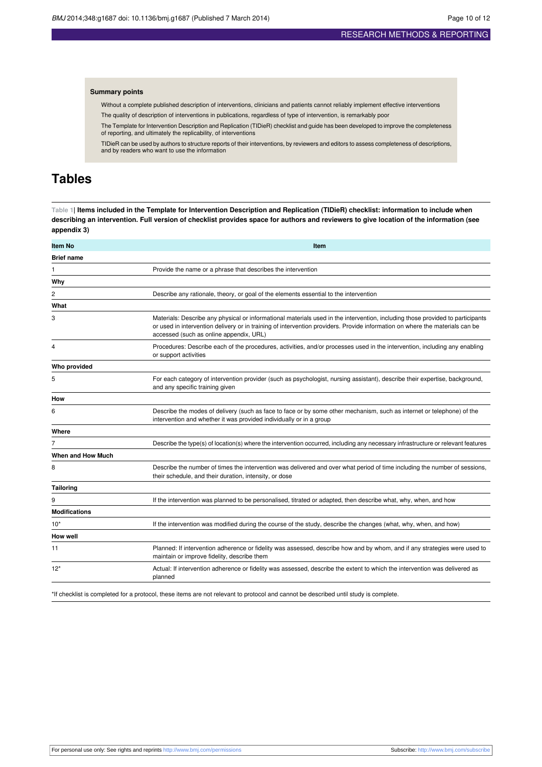#### **Summary points**

Without a complete published description of interventions, clinicians and patients cannot reliably implement effective interventions

The quality of description of interventions in publications, regardless of type of intervention, is remarkably poor

The Template for Intervention Description and Replication (TIDieR) checklist and guide has been developed to improve the completeness of reporting, and ultimately the replicability, of interventions

TIDieR can be used by authors to structure reports of their interventions, by reviewers and editors to assess completeness of descriptions, and by readers who want to use the information

## <span id="page-9-0"></span>**Tables**

Table 1| Items included in the Template for Intervention Description and Replication (TIDieR) checklist: information to include when describing an intervention. Full version of checklist provides space for authors and reviewers to give location of the information (see **appendix 3)**

| Item No                  | Item                                                                                                                                                                                                                                                                                                      |
|--------------------------|-----------------------------------------------------------------------------------------------------------------------------------------------------------------------------------------------------------------------------------------------------------------------------------------------------------|
| <b>Brief name</b>        |                                                                                                                                                                                                                                                                                                           |
| 1                        | Provide the name or a phrase that describes the intervention                                                                                                                                                                                                                                              |
| Why                      |                                                                                                                                                                                                                                                                                                           |
| 2                        | Describe any rationale, theory, or goal of the elements essential to the intervention                                                                                                                                                                                                                     |
| What                     |                                                                                                                                                                                                                                                                                                           |
| 3                        | Materials: Describe any physical or informational materials used in the intervention, including those provided to participants<br>or used in intervention delivery or in training of intervention providers. Provide information on where the materials can be<br>accessed (such as online appendix, URL) |
| 4                        | Procedures: Describe each of the procedures, activities, and/or processes used in the intervention, including any enabling<br>or support activities                                                                                                                                                       |
| Who provided             |                                                                                                                                                                                                                                                                                                           |
| 5                        | For each category of intervention provider (such as psychologist, nursing assistant), describe their expertise, background,<br>and any specific training given                                                                                                                                            |
| How                      |                                                                                                                                                                                                                                                                                                           |
| 6                        | Describe the modes of delivery (such as face to face or by some other mechanism, such as internet or telephone) of the<br>intervention and whether it was provided individually or in a group                                                                                                             |
| Where                    |                                                                                                                                                                                                                                                                                                           |
| 7                        | Describe the type(s) of location(s) where the intervention occurred, including any necessary infrastructure or relevant features                                                                                                                                                                          |
| <b>When and How Much</b> |                                                                                                                                                                                                                                                                                                           |
| 8                        | Describe the number of times the intervention was delivered and over what period of time including the number of sessions,<br>their schedule, and their duration, intensity, or dose                                                                                                                      |
| <b>Tailoring</b>         |                                                                                                                                                                                                                                                                                                           |
| 9                        | If the intervention was planned to be personalised, titrated or adapted, then describe what, why, when, and how                                                                                                                                                                                           |
| <b>Modifications</b>     |                                                                                                                                                                                                                                                                                                           |
| $10*$                    | If the intervention was modified during the course of the study, describe the changes (what, why, when, and how)                                                                                                                                                                                          |
| How well                 |                                                                                                                                                                                                                                                                                                           |
| 11                       | Planned: If intervention adherence or fidelity was assessed, describe how and by whom, and if any strategies were used to<br>maintain or improve fidelity, describe them                                                                                                                                  |
| $12*$                    | Actual: If intervention adherence or fidelity was assessed, describe the extent to which the intervention was delivered as<br>planned                                                                                                                                                                     |

\*If checklist is completed for a protocol, these items are not relevant to protocol and cannot be described until study is complete.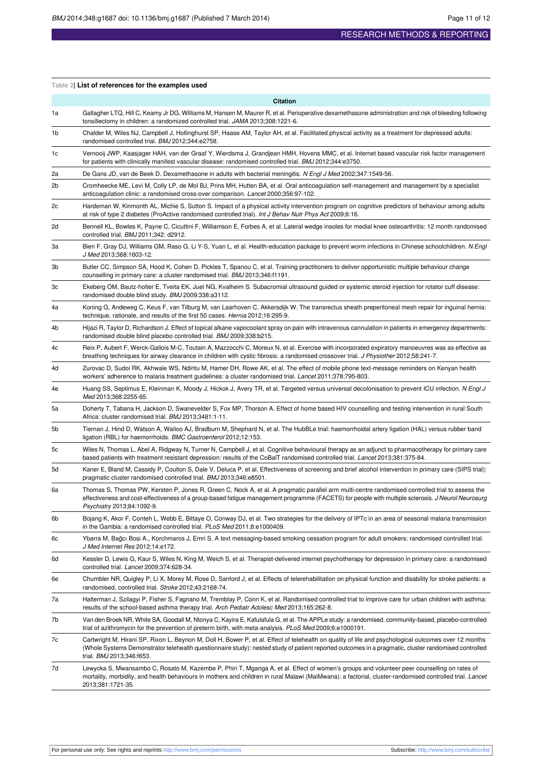#### <span id="page-10-0"></span>**Table 2| List of references for the examples used**

|    | <b>Citation</b>                                                                                                                                                                                                                                                                                                                            |
|----|--------------------------------------------------------------------------------------------------------------------------------------------------------------------------------------------------------------------------------------------------------------------------------------------------------------------------------------------|
| 1a | Gallagher LTQ, Hill C, Keamy Jr DG, Williams M, Hansen M, Maurer R, et al. Perioperative dexamethasone administration and risk of bleeding following<br>tonsillectomy in children: a randomized controlled trial. JAMA 2013;308:1221-6.                                                                                                    |
| 1b | Chalder M, Wiles NJ, Campbell J, Hollinghurst SP, Haase AM, Taylor AH, et al. Facilitated physical activity as a treatment for depressed adults:<br>randomised controlled trial. BMJ 2012;344:e2758.                                                                                                                                       |
| 1c | Vernooij JWP, Kaasjager HAH, van der Graaf Y, Wierdsma J, Grandjean HMH, Hovens MMC, et al. Internet based vascular risk factor management<br>for patients with clinically manifest vascular disease: randomised controlled trial. BMJ 2012;344:e3750.                                                                                     |
| 2a | De Gans JD, van de Beek D. Dexamethasone in adults with bacterial meningitis. N Engl J Med 2002;347:1549-56.                                                                                                                                                                                                                               |
| 2b | Cromheecke ME, Levi M, Colly LP, de Mol BJ, Prins MH, Hutten BA, et al. Oral anticoagulation self-management and management by a specialist<br>anticoagulation clinic: a randomised cross-over comparison. Lancet 2000;356:97-102.                                                                                                         |
| 2c | Hardeman W, Kinmonth AL, Michie S, Sutton S. Impact of a physical activity intervention program on cognitive predictors of behaviour among adults<br>at risk of type 2 diabetes (ProActive randomised controlled trial). Int J Behav Nutr Phys Act 2009;6:16.                                                                              |
| 2d | Bennell KL, Bowles K, Payne C, Cicuttini F, Williamson E, Forbes A, et al. Lateral wedge insoles for medial knee osteoarthritis: 12 month randomised<br>controlled trial. BMJ 2011;342: d2912.                                                                                                                                             |
| За | Bieri F, Gray DJ, Williams GM, Raso G, Li Y-S, Yuan L, et al. Health-education package to prevent worm infections in Chinese schoolchildren. N Engl<br>J Med 2013;368:1603-12.                                                                                                                                                             |
| Зb | Butler CC, Simpson SA, Hood K, Cohen D, Pickles T, Spanou C, et al. Training practitioners to deliver opportunistic multiple behaviour change<br>counselling in primary care: a cluster randomised trial. BMJ 2013;346:f1191.                                                                                                              |
| Зс | Ekeberg OM, Bautz-holter E, Tveita EK, Juel NG, Kvalheim S. Subacromial ultrasound guided or systemic steroid injection for rotator cuff disease:<br>randomised double blind study. BMJ 2009;338:a3112.                                                                                                                                    |
| 4a | Koning G, Andeweg C, Keus F, van Tilburg M, van Laarhoven C, Akkersdijk W. The transrectus sheath preperitoneal mesh repair for inguinal hernia:<br>technique, rationale, and results of the first 50 cases. Hernia 2012;16:295-9.                                                                                                         |
| 4b | Hijazi R, Taylor D, Richardson J. Effect of topical alkane vapocoolant spray on pain with intravenous cannulation in patients in emergency departments:<br>randomised double blind placebo controlled trial. BMJ 2009;338:b215.                                                                                                            |
| 4c | Reix P, Aubert F, Werck-Gallois M-C, Toutain A, Mazzocchi C, Moreux N, et al. Exercise with incorporated expiratory manoeuvres was as effective as<br>breathing techniques for airway clearance in children with cystic fibrosis: a randomised crossover trial. J Physiother 2012;58:241-7.                                                |
| 4d | Zurovac D, Sudoi RK, Akhwale WS, Ndiritu M, Hamer DH, Rowe AK, et al. The effect of mobile phone text-message reminders on Kenyan health<br>workers' adherence to malaria treatment guidelines: a cluster randomised trial. Lancet 2011;378:795-803.                                                                                       |
| 4e | Huang SS, Septimus E, Kleinman K, Moody J, Hickok J, Avery TR, et al. Targeted versus universal decolonisation to prevent ICU infection. N Engl J<br>Med 2013;368:2255-65.                                                                                                                                                                 |
| 5a | Doherty T, Tabana H, Jackson D, Swanevelder S, Fox MP, Thorson A. Effect of home based HIV counselling and testing intervention in rural South<br>Africa: cluster randomised trial. BMJ 2013;3481:1-11.                                                                                                                                    |
| 5b | Tiernan J, Hind D, Watson A, Wailoo AJ, Bradburn M, Shephard N, et al. The HubBLe trial: haemorrhoidal artery ligation (HAL) versus rubber band<br>ligation (RBL) for haemorrhoids. BMC Gastroenterol 2012;12:153.                                                                                                                         |
| 5c | Wiles N, Thomas L, Abel A, Ridgway N, Turner N, Campbell J, et al. Cognitive behavioural therapy as an adjunct to pharmacotherapy for primary care<br>based patients with treatment resistant depression: results of the CoBalT randomised controlled trial. Lancet 2013;381:375-84.                                                       |
| 5d | Kaner E, Bland M, Cassidy P, Coulton S, Dale V, Deluca P, et al. Effectiveness of screening and brief alcohol intervention in primary care (SIPS trial):<br>pragmatic cluster randomised controlled trial. BMJ 2013;346:e8501.                                                                                                             |
| 6а | Thomas S, Thomas PW, Kersten P, Jones R, Green C, Nock A, et al. A pragmatic parallel arm multi-centre randomised controlled trial to assess the<br>effectiveness and cost-effectiveness of a group-based fatigue management programme (FACETS) for people with multiple sclerosis. J Neurol Neurosurg<br>Psychiatry 2013;84:1092-9.       |
| 6b | Bojang K, Akor F, Conteh L, Webb E, Bittaye O, Conway DJ, et al. Two strategies for the delivery of IPTc in an area of seasonal malaria transmission<br>in the Gambia: a randomised controlled trial. PLoS Med 2011;8:e1000409.                                                                                                            |
| 6с | Ybarra M, Bağcı Bosi A., Korchmaros J, Emri S. A text messaging-based smoking cessation program for adult smokers: randomised controlled trial.<br>J Med Internet Res 2012;14:e172.                                                                                                                                                        |
| 6d | Kessler D, Lewis G, Kaur S, Wiles N, King M, Weich S, et al. Therapist-delivered internet psychotherapy for depression in primary care: a randomised<br>controlled trial. Lancet 2009;374:628-34.                                                                                                                                          |
| 6e | Chumbler NR, Quigley P, Li X, Morey M, Rose D, Sanford J, et al. Effects of telerehabilitation on physical function and disability for stroke patients: a<br>randomised, controlled trial. Stroke 2012;43:2168-74.                                                                                                                         |
| 7a | Halterman J, Szilagyi P, Fisher S, Fagnano M, Tremblay P, Conn K, et al. Randomised controlled trial to improve care for urban children with asthma:<br>results of the school-based asthma therapy trial. Arch Pediatr Adolesc Med 2013;165:262-8.                                                                                         |
| 7b | Van den Broek NR, White SA, Goodall M, Ntonya C, Kayira E, Kafulafula G, et al. The APPLe study: a randomised, community-based, placebo-controlled<br>trial of azithromycin for the prevention of preterm birth, with meta-analysis. PLoS Med 2009;6:e1000191.                                                                             |
| 7c | Cartwright M, Hirani SP, Rixon L, Beynon M, Doll H, Bower P, et al. Effect of telehealth on quality of life and psychological outcomes over 12 months<br>(Whole Systems Demonstrator telehealth questionnaire study): nested study of patient reported outcomes in a pragmatic, cluster randomised controlled<br>trial. BMJ 2013;346:f653. |
| 7d | Lewycka S, Mwansambo C, Rosato M, Kazembe P, Phiri T, Mganga A, et al. Effect of women's groups and volunteer peer counselling on rates of<br>mortality, morbidity, and health behaviours in mothers and children in rural Malawi (MaiMwana): a factorial, cluster-randomised controlled trial. Lancet<br>2013;381:1721-35.                |